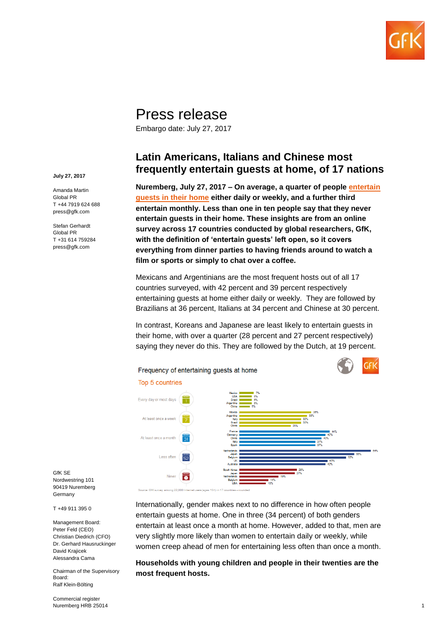

## Press release

Embargo date: July 27, 2017

## **Latin Americans, Italians and Chinese most frequently entertain guests at home, of 17 nations**

**Nuremberg, July 27, 2017 – On average, a quarter of people [entertain](http://www.gfk.com/global-studies/global-studies-frequency-of-entertaining-guests-at-home/)  [guests in their](http://www.gfk.com/global-studies/global-studies-frequency-of-entertaining-guests-at-home/) home either daily or weekly, and a further third entertain monthly. Less than one in ten people say that they never entertain guests in their home. These insights are from an online survey across 17 countries conducted by global researchers, GfK, with the definition of 'entertain guests' left open, so it covers everything from dinner parties to having friends around to watch a film or sports or simply to chat over a coffee.**

Mexicans and Argentinians are the most frequent hosts out of all 17 countries surveyed, with 42 percent and 39 percent respectively entertaining guests at home either daily or weekly. They are followed by Brazilians at 36 percent, Italians at 34 percent and Chinese at 30 percent.

In contrast, Koreans and Japanese are least likely to entertain guests in their home, with over a quarter (28 percent and 27 percent respectively) saying they never do this. They are followed by the Dutch, at 19 percent.



GfK SE Nordwestring 101 90419 Nuremberg Germany

T +49 911 395 0

Management Board: Peter Feld (CEO) Christian Diedrich (CFO) Dr. Gerhard Hausruckinger David Krajicek Alessandra Cama

Chairman of the Supervisory Board: Ralf Klein-Bölting

Commercial register Nuremberg HRB 25014 Internationally, gender makes next to no difference in how often people entertain guests at home. One in three (34 percent) of both genders entertain at least once a month at home. However, added to that, men are very slightly more likely than women to entertain daily or weekly, while women creep ahead of men for entertaining less often than once a month.

**Households with young children and people in their twenties are the most frequent hosts.**

**July 27, 2017**

Amanda Martin Global PR T +44 7919 624 688 press@gfk.com

Stefan Gerhardt Global PR T +31 614 759284 press@gfk.com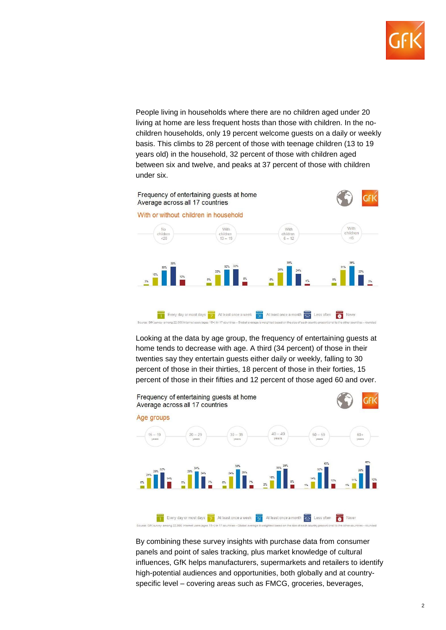

People living in households where there are no children aged under 20 living at home are less frequent hosts than those with children. In the nochildren households, only 19 percent welcome guests on a daily or weekly basis. This climbs to 28 percent of those with teenage children (13 to 19 years old) in the household, 32 percent of those with children aged between six and twelve, and peaks at 37 percent of those with children under six.



Looking at the data by age group, the frequency of entertaining guests at home tends to decrease with age. A third (34 percent) of those in their twenties say they entertain guests either daily or weekly, falling to 30 percent of those in their thirties, 18 percent of those in their forties, 15 percent of those in their fifties and 12 percent of those aged 60 and over.



By combining these survey insights with purchase data from consumer panels and point of sales tracking, plus market knowledge of cultural influences, GfK helps manufacturers, supermarkets and retailers to identify high-potential audiences and opportunities, both globally and at countryspecific level – covering areas such as FMCG, groceries, beverages,